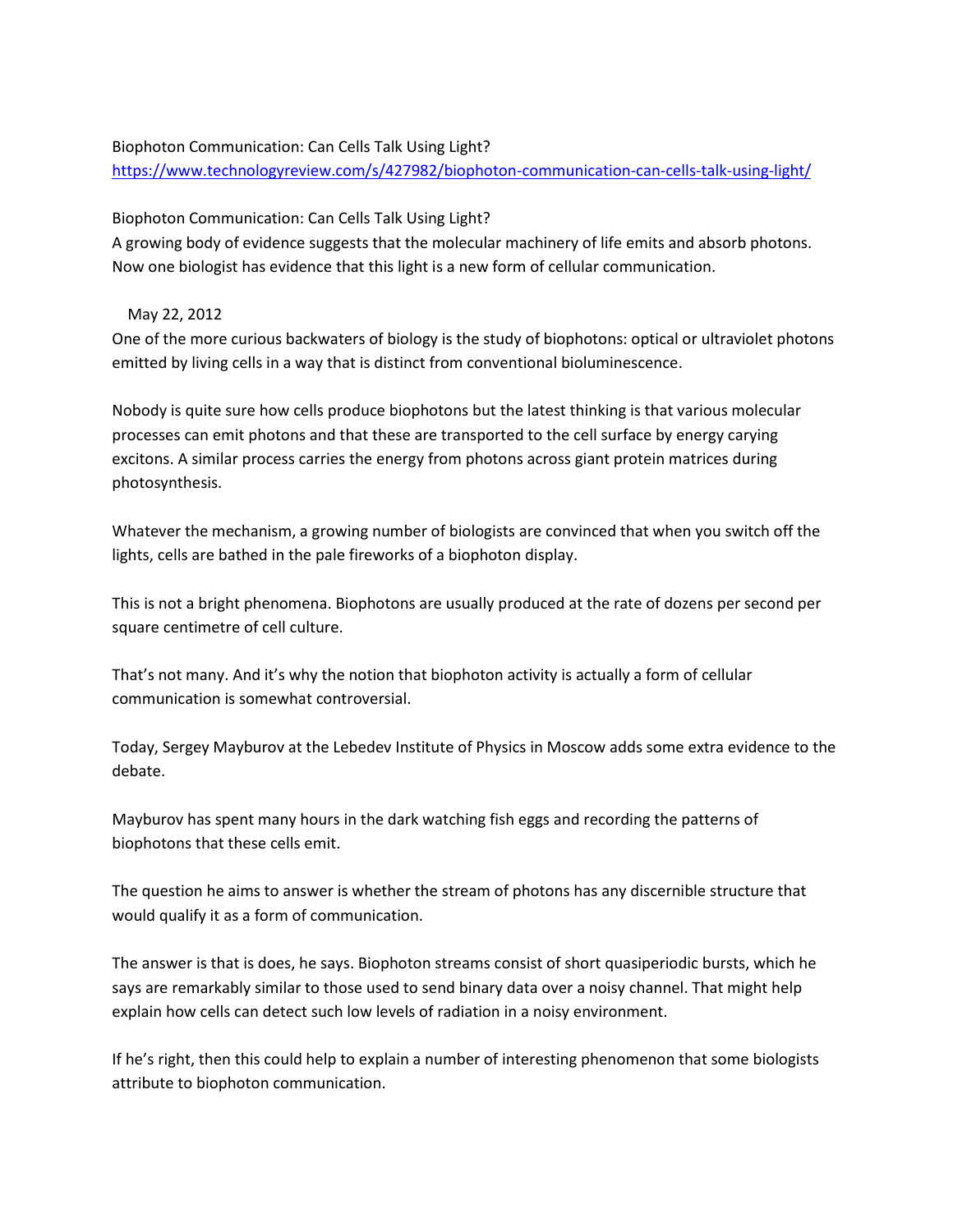## Biophoton Communication: Can Cells Talk Using Light?

<https://www.technologyreview.com/s/427982/biophoton-communication-can-cells-talk-using-light/>

## Biophoton Communication: Can Cells Talk Using Light?

A growing body of evidence suggests that the molecular machinery of life emits and absorb photons. Now one biologist has evidence that this light is a new form of cellular communication.

## May 22, 2012

One of the more curious backwaters of biology is the study of biophotons: optical or ultraviolet photons emitted by living cells in a way that is distinct from conventional bioluminescence.

Nobody is quite sure how cells produce biophotons but the latest thinking is that various molecular processes can emit photons and that these are transported to the cell surface by energy carying excitons. A similar process carries the energy from photons across giant protein matrices during photosynthesis.

Whatever the mechanism, a growing number of biologists are convinced that when you switch off the lights, cells are bathed in the pale fireworks of a biophoton display.

This is not a bright phenomena. Biophotons are usually produced at the rate of dozens per second per square centimetre of cell culture.

That's not many. And it's why the notion that biophoton activity is actually a form of cellular communication is somewhat controversial.

Today, Sergey Mayburov at the Lebedev Institute of Physics in Moscow adds some extra evidence to the debate.

Mayburov has spent many hours in the dark watching fish eggs and recording the patterns of biophotons that these cells emit.

The question he aims to answer is whether the stream of photons has any discernible structure that would qualify it as a form of communication.

The answer is that is does, he says. Biophoton streams consist of short quasiperiodic bursts, which he says are remarkably similar to those used to send binary data over a noisy channel. That might help explain how cells can detect such low levels of radiation in a noisy environment.

If he's right, then this could help to explain a number of interesting phenomenon that some biologists attribute to biophoton communication.